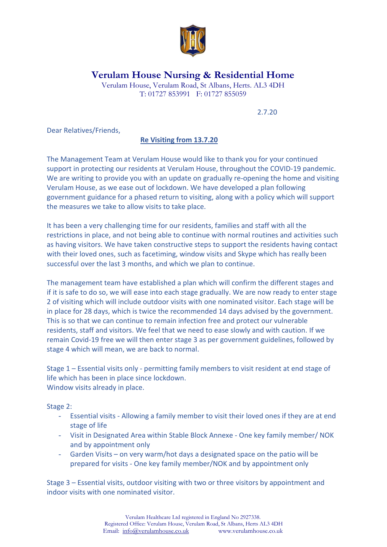

## **Verulam House Nursing & Residential Home**

Verulam House, Verulam Road, St Albans, Herts. AL3 4DH T: 01727 853991 F: 01727 855059

2.7.20

Dear Relatives/Friends,

## **Re Visiting from 13.7.20**

The Management Team at Verulam House would like to thank you for your continued support in protecting our residents at Verulam House, throughout the COVID-19 pandemic. We are writing to provide you with an update on gradually re-opening the home and visiting Verulam House, as we ease out of lockdown. We have developed a plan following government guidance for a phased return to visiting, along with a policy which will support the measures we take to allow visits to take place.

It has been a very challenging time for our residents, families and staff with all the restrictions in place, and not being able to continue with normal routines and activities such as having visitors. We have taken constructive steps to support the residents having contact with their loved ones, such as facetiming, window visits and Skype which has really been successful over the last 3 months, and which we plan to continue.

The management team have established a plan which will confirm the different stages and if it is safe to do so, we will ease into each stage gradually. We are now ready to enter stage 2 of visiting which will include outdoor visits with one nominated visitor. Each stage will be in place for 28 days, which is twice the recommended 14 days advised by the government. This is so that we can continue to remain infection free and protect our vulnerable residents, staff and visitors. We feel that we need to ease slowly and with caution. If we remain Covid-19 free we will then enter stage 3 as per government guidelines, followed by stage 4 which will mean, we are back to normal.

Stage 1 – Essential visits only - permitting family members to visit resident at end stage of life which has been in place since lockdown. Window visits already in place.

Stage 2:

- Essential visits Allowing a family member to visit their loved ones if they are at end stage of life
- Visit in Designated Area within Stable Block Annexe One key family member/ NOK and by appointment only
- Garden Visits on very warm/hot days a designated space on the patio will be prepared for visits - One key family member/NOK and by appointment only

Stage 3 – Essential visits, outdoor visiting with two or three visitors by appointment and indoor visits with one nominated visitor.